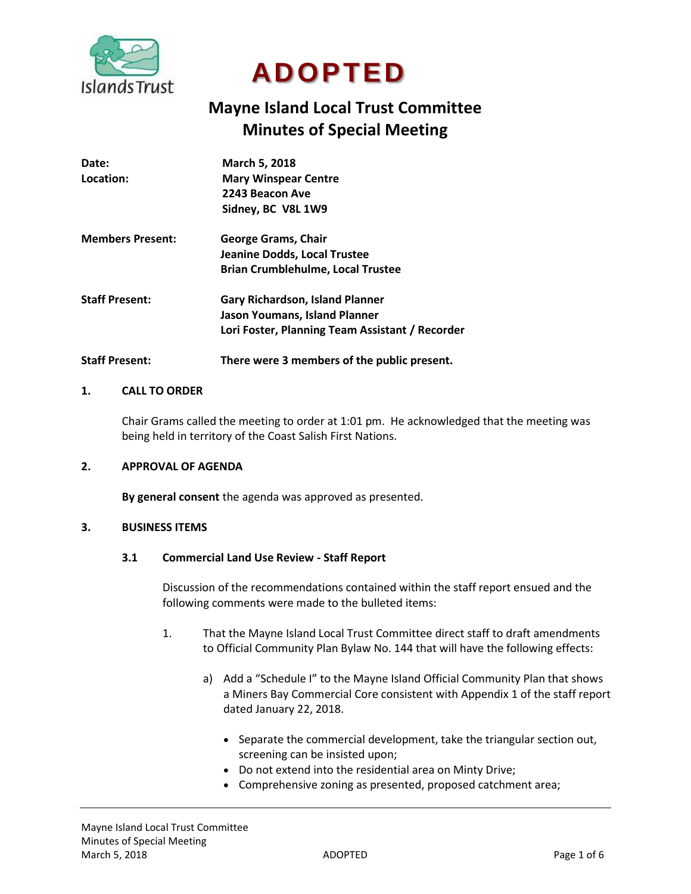

# **ADOPTED**

# **Mayne Island Local Trust Committee Minutes of Special Meeting**

| Date:                   | <b>March 5, 2018</b>                            |
|-------------------------|-------------------------------------------------|
| Location:               | <b>Mary Winspear Centre</b>                     |
|                         | 2243 Beacon Ave                                 |
|                         | Sidney, BC V8L 1W9                              |
| <b>Members Present:</b> | George Grams, Chair                             |
|                         | Jeanine Dodds, Local Trustee                    |
|                         | <b>Brian Crumblehulme, Local Trustee</b>        |
| <b>Staff Present:</b>   | <b>Gary Richardson, Island Planner</b>          |
|                         | Jason Youmans, Island Planner                   |
|                         | Lori Foster, Planning Team Assistant / Recorder |
|                         |                                                 |

**Staff Present: There were 3 members of the public present.**

# **1. CALL TO ORDER**

Chair Grams called the meeting to order at 1:01 pm. He acknowledged that the meeting was being held in territory of the Coast Salish First Nations.

# **2. APPROVAL OF AGENDA**

**By general consent** the agenda was approved as presented.

# **3. BUSINESS ITEMS**

#### **3.1 Commercial Land Use Review - Staff Report**

Discussion of the recommendations contained within the staff report ensued and the following comments were made to the bulleted items:

- 1. That the Mayne Island Local Trust Committee direct staff to draft amendments to Official Community Plan Bylaw No. 144 that will have the following effects:
	- a) Add a "Schedule I" to the Mayne Island Official Community Plan that shows a Miners Bay Commercial Core consistent with Appendix 1 of the staff report dated January 22, 2018.
		- Separate the commercial development, take the triangular section out, screening can be insisted upon;
		- Do not extend into the residential area on Minty Drive;
		- Comprehensive zoning as presented, proposed catchment area;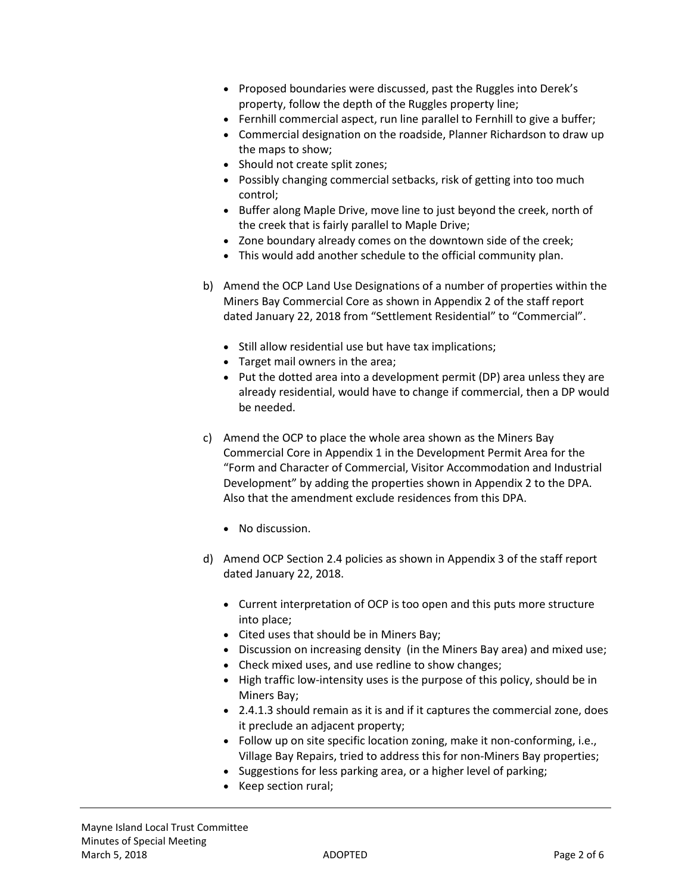- Proposed boundaries were discussed, past the Ruggles into Derek's property, follow the depth of the Ruggles property line;
- Fernhill commercial aspect, run line parallel to Fernhill to give a buffer;
- Commercial designation on the roadside, Planner Richardson to draw up the maps to show;
- Should not create split zones;
- Possibly changing commercial setbacks, risk of getting into too much control;
- Buffer along Maple Drive, move line to just beyond the creek, north of the creek that is fairly parallel to Maple Drive;
- Zone boundary already comes on the downtown side of the creek;
- This would add another schedule to the official community plan.
- b) Amend the OCP Land Use Designations of a number of properties within the Miners Bay Commercial Core as shown in Appendix 2 of the staff report dated January 22, 2018 from "Settlement Residential" to "Commercial".
	- Still allow residential use but have tax implications;
	- Target mail owners in the area;
	- Put the dotted area into a development permit (DP) area unless they are already residential, would have to change if commercial, then a DP would be needed.
- c) Amend the OCP to place the whole area shown as the Miners Bay Commercial Core in Appendix 1 in the Development Permit Area for the "Form and Character of Commercial, Visitor Accommodation and Industrial Development" by adding the properties shown in Appendix 2 to the DPA. Also that the amendment exclude residences from this DPA.
	- No discussion.
- d) Amend OCP Section 2.4 policies as shown in Appendix 3 of the staff report dated January 22, 2018.
	- Current interpretation of OCP is too open and this puts more structure into place;
	- Cited uses that should be in Miners Bay;
	- Discussion on increasing density (in the Miners Bay area) and mixed use;
	- Check mixed uses, and use redline to show changes;
	- High traffic low-intensity uses is the purpose of this policy, should be in Miners Bay;
	- 2.4.1.3 should remain as it is and if it captures the commercial zone, does it preclude an adjacent property;
	- Follow up on site specific location zoning, make it non-conforming, i.e., Village Bay Repairs, tried to address this for non-Miners Bay properties;
	- Suggestions for less parking area, or a higher level of parking;
	- Keep section rural;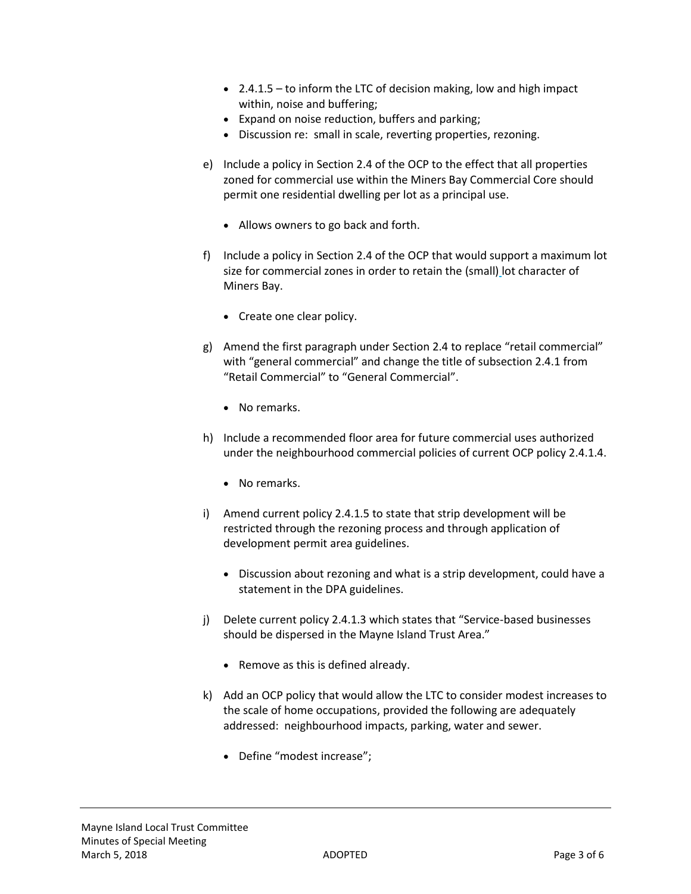- $\bullet$  2.4.1.5 to inform the LTC of decision making, low and high impact within, noise and buffering;
- Expand on noise reduction, buffers and parking;
- Discussion re: small in scale, reverting properties, rezoning.
- e) Include a policy in Section 2.4 of the OCP to the effect that all properties zoned for commercial use within the Miners Bay Commercial Core should permit one residential dwelling per lot as a principal use.
	- Allows owners to go back and forth.
- f) Include a policy in Section 2.4 of the OCP that would support a maximum lot size for commercial zones in order to retain the (small) lot character of Miners Bay.
	- Create one clear policy.
- g) Amend the first paragraph under Section 2.4 to replace "retail commercial" with "general commercial" and change the title of subsection 2.4.1 from "Retail Commercial" to "General Commercial".
	- No remarks.
- h) Include a recommended floor area for future commercial uses authorized under the neighbourhood commercial policies of current OCP policy 2.4.1.4.
	- No remarks.
- i) Amend current policy 2.4.1.5 to state that strip development will be restricted through the rezoning process and through application of development permit area guidelines.
	- Discussion about rezoning and what is a strip development, could have a statement in the DPA guidelines.
- j) Delete current policy 2.4.1.3 which states that "Service-based businesses should be dispersed in the Mayne Island Trust Area."
	- Remove as this is defined already.
- k) Add an OCP policy that would allow the LTC to consider modest increases to the scale of home occupations, provided the following are adequately addressed: neighbourhood impacts, parking, water and sewer.
	- Define "modest increase";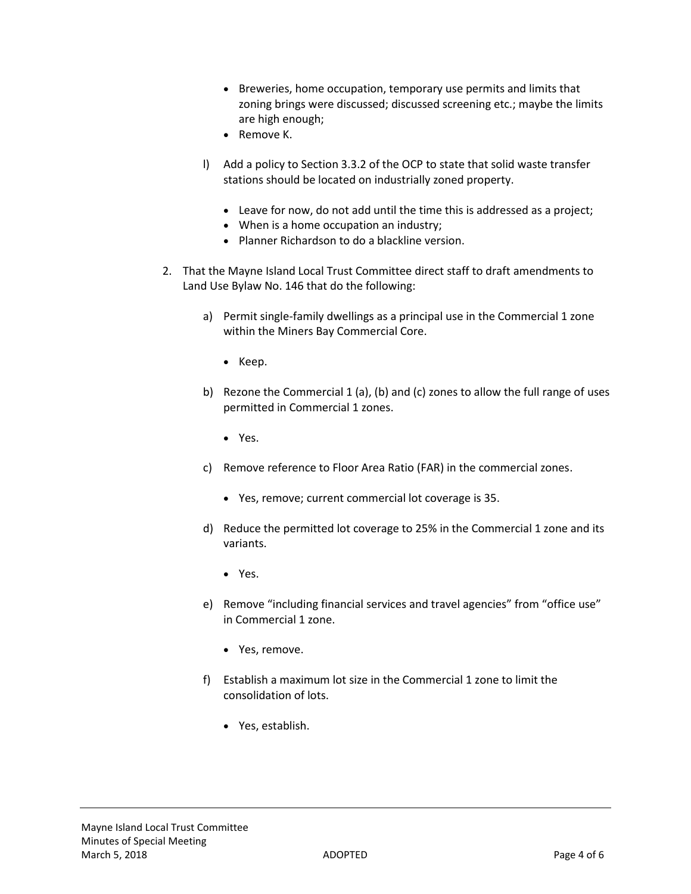- Breweries, home occupation, temporary use permits and limits that zoning brings were discussed; discussed screening etc.; maybe the limits are high enough;
- Remove K.
- l) Add a policy to Section 3.3.2 of the OCP to state that solid waste transfer stations should be located on industrially zoned property.
	- Leave for now, do not add until the time this is addressed as a project;
	- When is a home occupation an industry;
	- Planner Richardson to do a blackline version.
- 2. That the Mayne Island Local Trust Committee direct staff to draft amendments to Land Use Bylaw No. 146 that do the following:
	- a) Permit single-family dwellings as a principal use in the Commercial 1 zone within the Miners Bay Commercial Core.
		- Keep.
	- b) Rezone the Commercial 1 (a), (b) and (c) zones to allow the full range of uses permitted in Commercial 1 zones.
		- Yes.
	- c) Remove reference to Floor Area Ratio (FAR) in the commercial zones.
		- Yes, remove; current commercial lot coverage is 35.
	- d) Reduce the permitted lot coverage to 25% in the Commercial 1 zone and its variants.
		- Yes.
	- e) Remove "including financial services and travel agencies" from "office use" in Commercial 1 zone.
		- Yes, remove.
	- f) Establish a maximum lot size in the Commercial 1 zone to limit the consolidation of lots.
		- Yes, establish.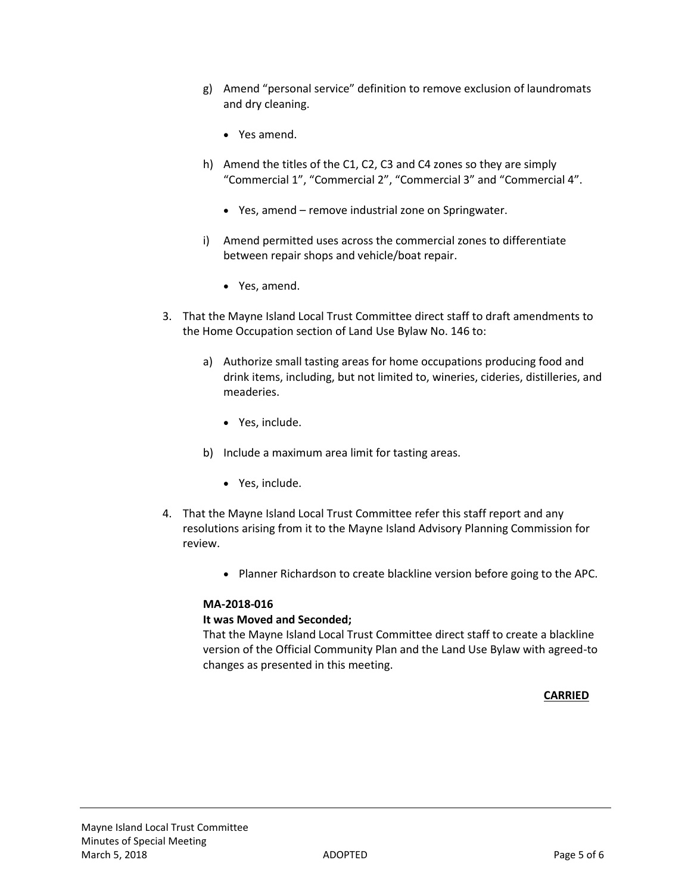- g) Amend "personal service" definition to remove exclusion of laundromats and dry cleaning.
	- Yes amend.
- h) Amend the titles of the C1, C2, C3 and C4 zones so they are simply "Commercial 1", "Commercial 2", "Commercial 3" and "Commercial 4".
	- Yes, amend remove industrial zone on Springwater.
- i) Amend permitted uses across the commercial zones to differentiate between repair shops and vehicle/boat repair.
	- Yes, amend.
- 3. That the Mayne Island Local Trust Committee direct staff to draft amendments to the Home Occupation section of Land Use Bylaw No. 146 to:
	- a) Authorize small tasting areas for home occupations producing food and drink items, including, but not limited to, wineries, cideries, distilleries, and meaderies.
		- Yes, include.
	- b) Include a maximum area limit for tasting areas.
		- Yes, include.
- 4. That the Mayne Island Local Trust Committee refer this staff report and any resolutions arising from it to the Mayne Island Advisory Planning Commission for review.
	- Planner Richardson to create blackline version before going to the APC.

# **MA-2018-016**

# **It was Moved and Seconded;**

That the Mayne Island Local Trust Committee direct staff to create a blackline version of the Official Community Plan and the Land Use Bylaw with agreed-to changes as presented in this meeting.

# **CARRIED**